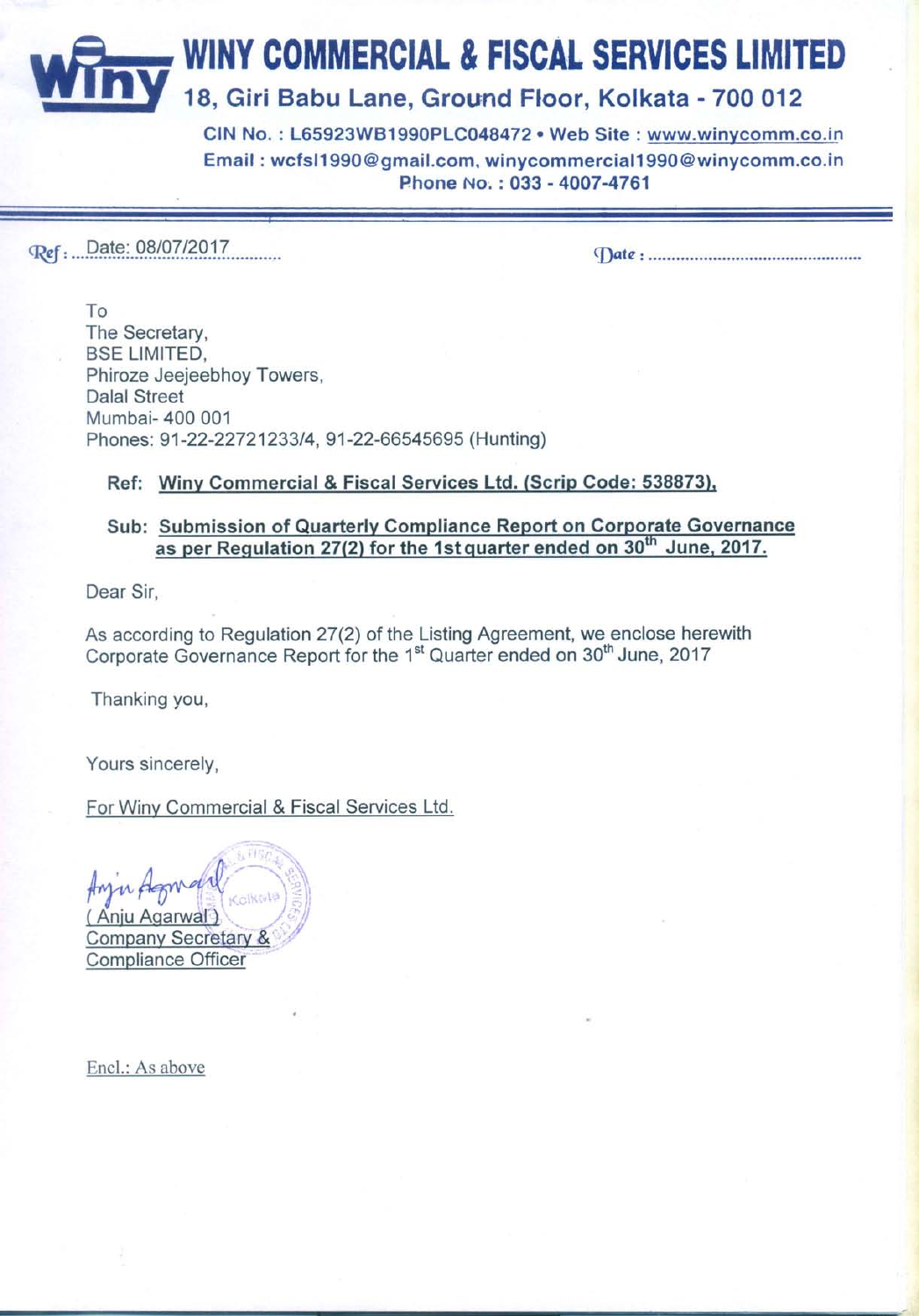**WINY COMMERCIAL & FISCAL SERVICES LIMITED** 18, Giri Babu Lane, Ground Floor, Kolkata - 700 012

> CIN No.: L65923WB1990PLC048472 · Web Site: www.winycomm.co.in Email: wcfsl1990@gmail.com, winycommercial1990@winycomm.co.in Phone No.: 033 - 4007-4761

Ref : Date: 08/07/2017

To The Secretary, **BSE LIMITED,** Phiroze Jeejeebhoy Towers, **Dalal Street** Mumbai- 400 001 Phones: 91-22-22721233/4, 91-22-66545695 (Hunting)

## Ref: Winy Commercial & Fiscal Services Ltd. (Scrip Code: 538873),

## Sub: Submission of Quarterly Compliance Report on Corporate Governance as per Regulation 27(2) for the 1st quarter ended on 30<sup>th</sup> June, 2017.

Dear Sir.

As according to Regulation 27(2) of the Listing Agreement, we enclose herewith Corporate Governance Report for the 1<sup>st</sup> Quarter ended on 30<sup>th</sup> June, 2017

Thanking you,

Yours sincerely,

For Winy Commercial & Fiscal Services Ltd.

**WF157** Colkrat Company Secretary & **Compliance Officer** 

Encl.: As above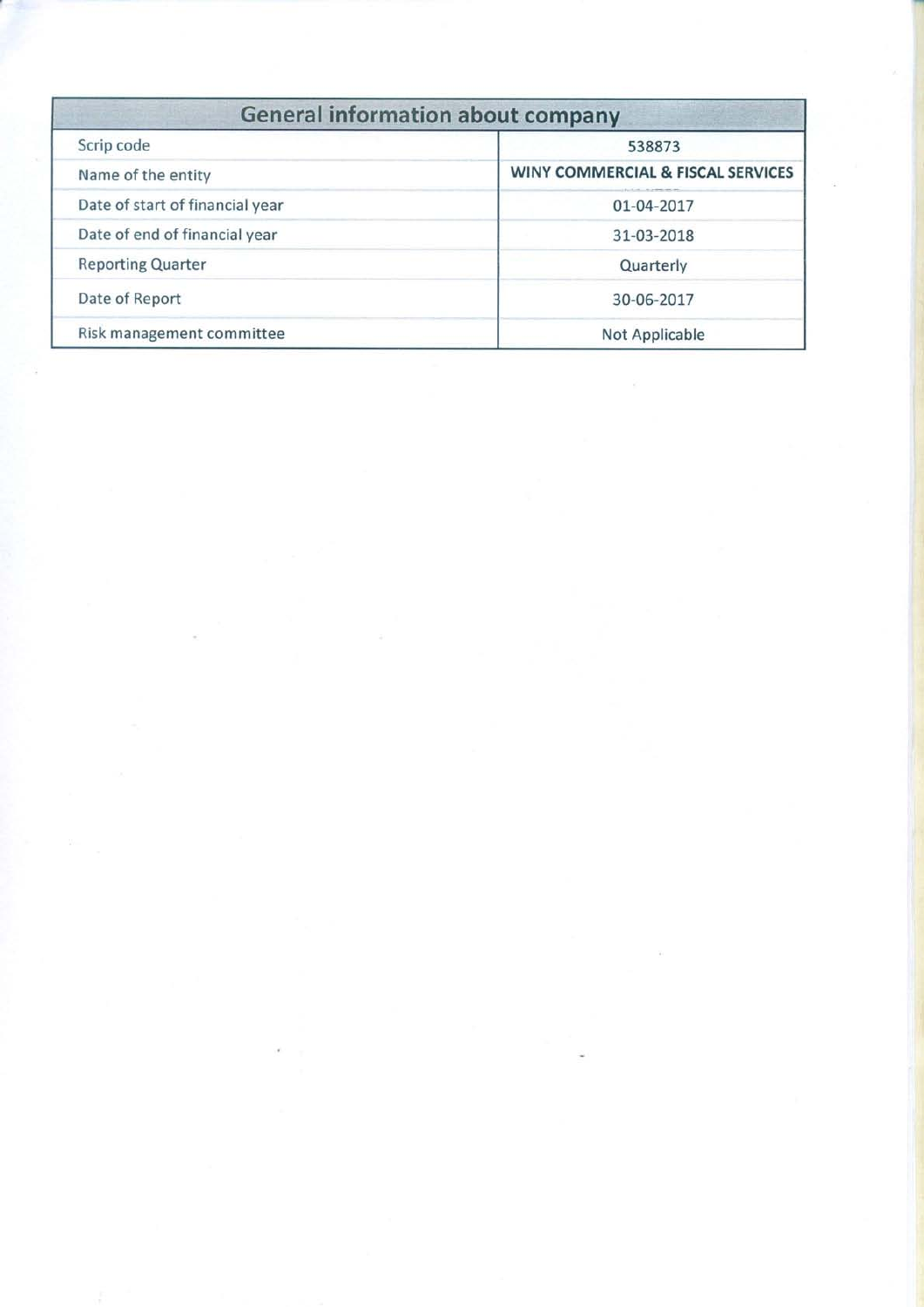| <b>General information about company</b> |                                   |  |  |  |
|------------------------------------------|-----------------------------------|--|--|--|
| Scrip code                               | 538873                            |  |  |  |
| Name of the entity                       | WINY COMMERCIAL & FISCAL SERVICES |  |  |  |
| Date of start of financial year          | 01-04-2017                        |  |  |  |
| Date of end of financial year            | 31-03-2018                        |  |  |  |
| <b>Reporting Quarter</b>                 | Quarterly                         |  |  |  |
| Date of Report                           | 30-06-2017                        |  |  |  |
| Risk management committee                | Not Applicable                    |  |  |  |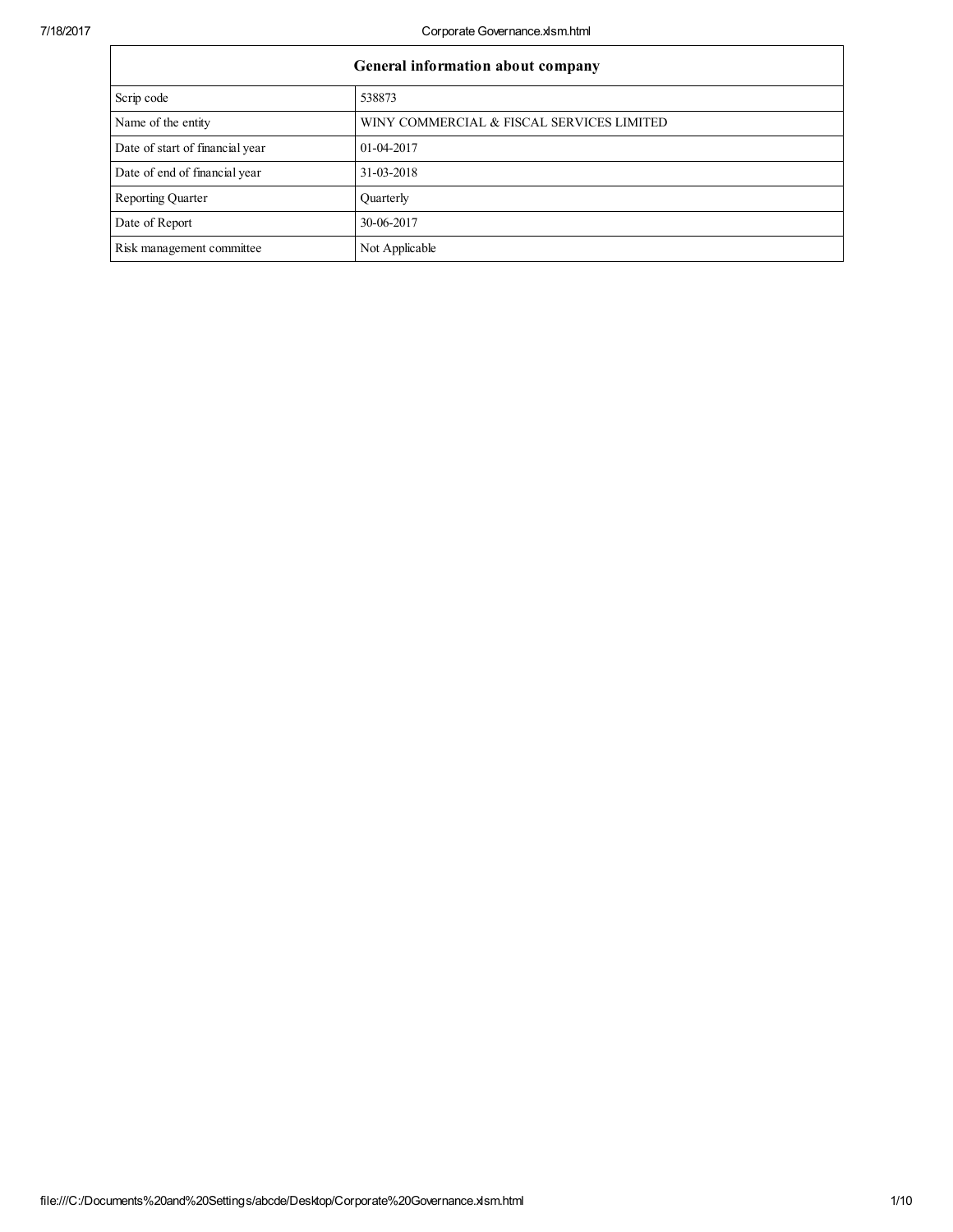| General information about company |                                           |  |  |  |
|-----------------------------------|-------------------------------------------|--|--|--|
| Scrip code                        | 538873                                    |  |  |  |
| Name of the entity                | WINY COMMERCIAL & FISCAL SERVICES LIMITED |  |  |  |
| Date of start of financial year   | 01-04-2017                                |  |  |  |
| Date of end of financial year     | 31-03-2018                                |  |  |  |
| <b>Reporting Quarter</b>          | Quarterly                                 |  |  |  |
| Date of Report                    | 30-06-2017                                |  |  |  |
| Risk management committee         | Not Applicable                            |  |  |  |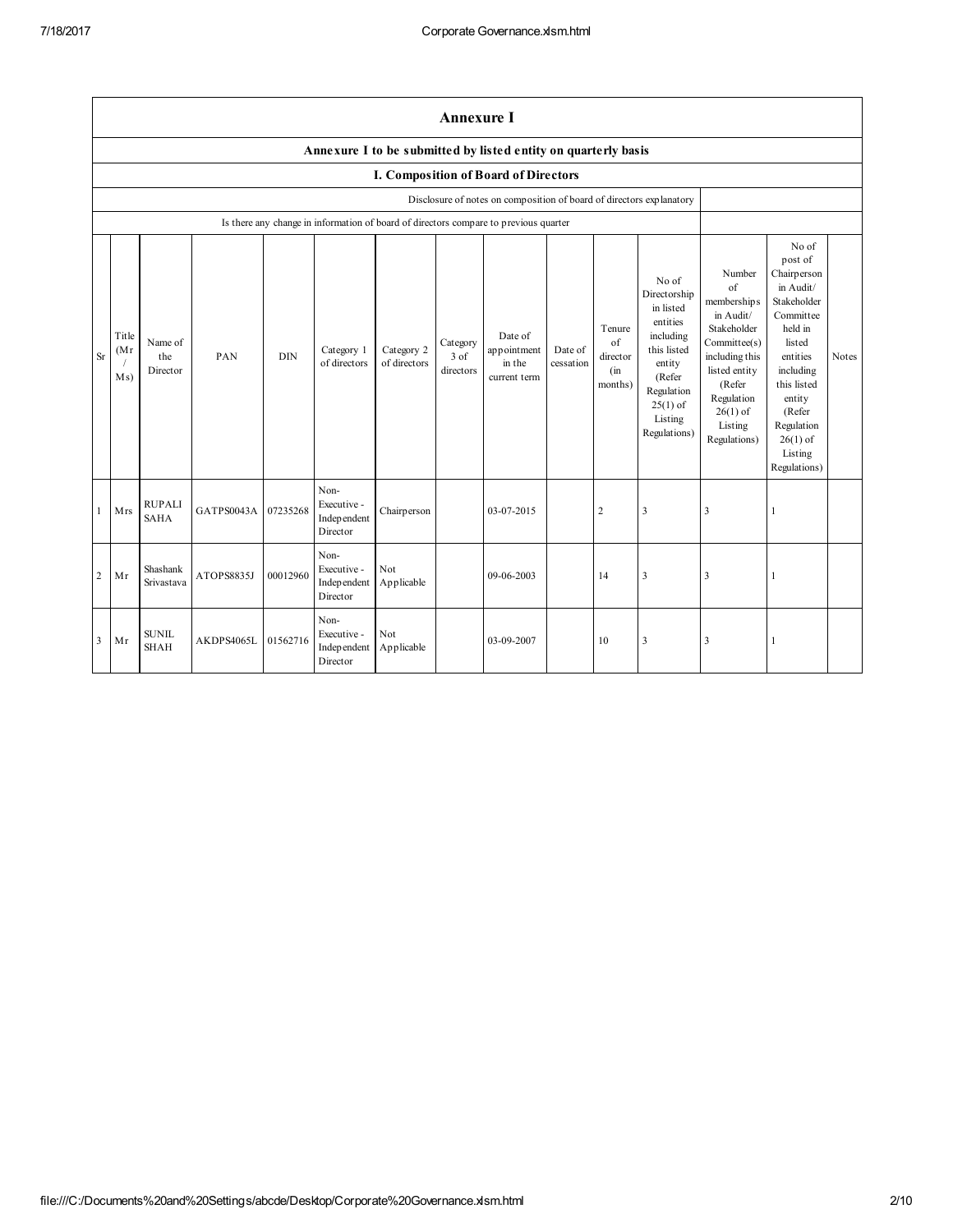|                | <b>Annexure I</b>                                              |                              |            |            |                                                |                            |                                 |                                                                                      |                      |                                            |                                                                                                                                                       |                                                                                                                                                                              |                                                                                                                                                                                                                  |              |
|----------------|----------------------------------------------------------------|------------------------------|------------|------------|------------------------------------------------|----------------------------|---------------------------------|--------------------------------------------------------------------------------------|----------------------|--------------------------------------------|-------------------------------------------------------------------------------------------------------------------------------------------------------|------------------------------------------------------------------------------------------------------------------------------------------------------------------------------|------------------------------------------------------------------------------------------------------------------------------------------------------------------------------------------------------------------|--------------|
|                | Annexure I to be submitted by listed entity on quarterly basis |                              |            |            |                                                |                            |                                 |                                                                                      |                      |                                            |                                                                                                                                                       |                                                                                                                                                                              |                                                                                                                                                                                                                  |              |
|                | I. Composition of Board of Directors                           |                              |            |            |                                                |                            |                                 |                                                                                      |                      |                                            |                                                                                                                                                       |                                                                                                                                                                              |                                                                                                                                                                                                                  |              |
|                |                                                                |                              |            |            |                                                |                            |                                 | Disclosure of notes on composition of board of directors explanatory                 |                      |                                            |                                                                                                                                                       |                                                                                                                                                                              |                                                                                                                                                                                                                  |              |
|                |                                                                |                              |            |            |                                                |                            |                                 | Is there any change in information of board of directors compare to previous quarter |                      |                                            |                                                                                                                                                       |                                                                                                                                                                              |                                                                                                                                                                                                                  |              |
| <b>Sr</b>      | Title<br>(Mr)<br>M s)                                          | Name of<br>the<br>Director   | PAN        | <b>DIN</b> | Category 1<br>of directors                     | Category 2<br>of directors | Category<br>$3$ of<br>directors | Date of<br>appointment<br>in the<br>current term                                     | Date of<br>cessation | Tenure<br>of<br>director<br>(in<br>months) | No of<br>Directorship<br>in listed<br>entities<br>including<br>this listed<br>entity<br>(Refer<br>Regulation<br>$25(1)$ of<br>Listing<br>Regulations) | Number<br>of<br>membership s<br>in Audit/<br>Stakeholder<br>Committee(s)<br>including this<br>listed entity<br>(Refer<br>Regulation<br>$26(1)$ of<br>Listing<br>Regulations) | No of<br>post of<br>Chairperson<br>in Audit/<br>Stakeholder<br>Committee<br>held in<br>listed<br>entities<br>including<br>this listed<br>entity<br>(Refer<br>Regulation<br>$26(1)$ of<br>Listing<br>Regulations) | <b>Notes</b> |
| $\mathbf{1}$   | Mrs                                                            | <b>RUPALI</b><br><b>SAHA</b> | GATPS0043A | 07235268   | Non-<br>Executive -<br>Independent<br>Director | Chairperson                |                                 | 03-07-2015                                                                           |                      | $\overline{2}$                             | 3                                                                                                                                                     | 3                                                                                                                                                                            |                                                                                                                                                                                                                  |              |
| $\overline{2}$ | Mr                                                             | Shashank<br>Srivastava       | ATOPS8835J | 00012960   | Non-<br>Executive -<br>Independent<br>Director | Not<br>Applicable          |                                 | 09-06-2003                                                                           |                      | 14                                         | $\overline{\mathbf{3}}$                                                                                                                               | 3                                                                                                                                                                            |                                                                                                                                                                                                                  |              |
| 3              | Mr                                                             | <b>SUNIL</b><br><b>SHAH</b>  | AKDPS4065L | 01562716   | Non-<br>Executive -<br>Independent<br>Director | Not<br>Applicable          |                                 | 03-09-2007                                                                           |                      | 10                                         | $\overline{\mathbf{3}}$                                                                                                                               | 3                                                                                                                                                                            |                                                                                                                                                                                                                  |              |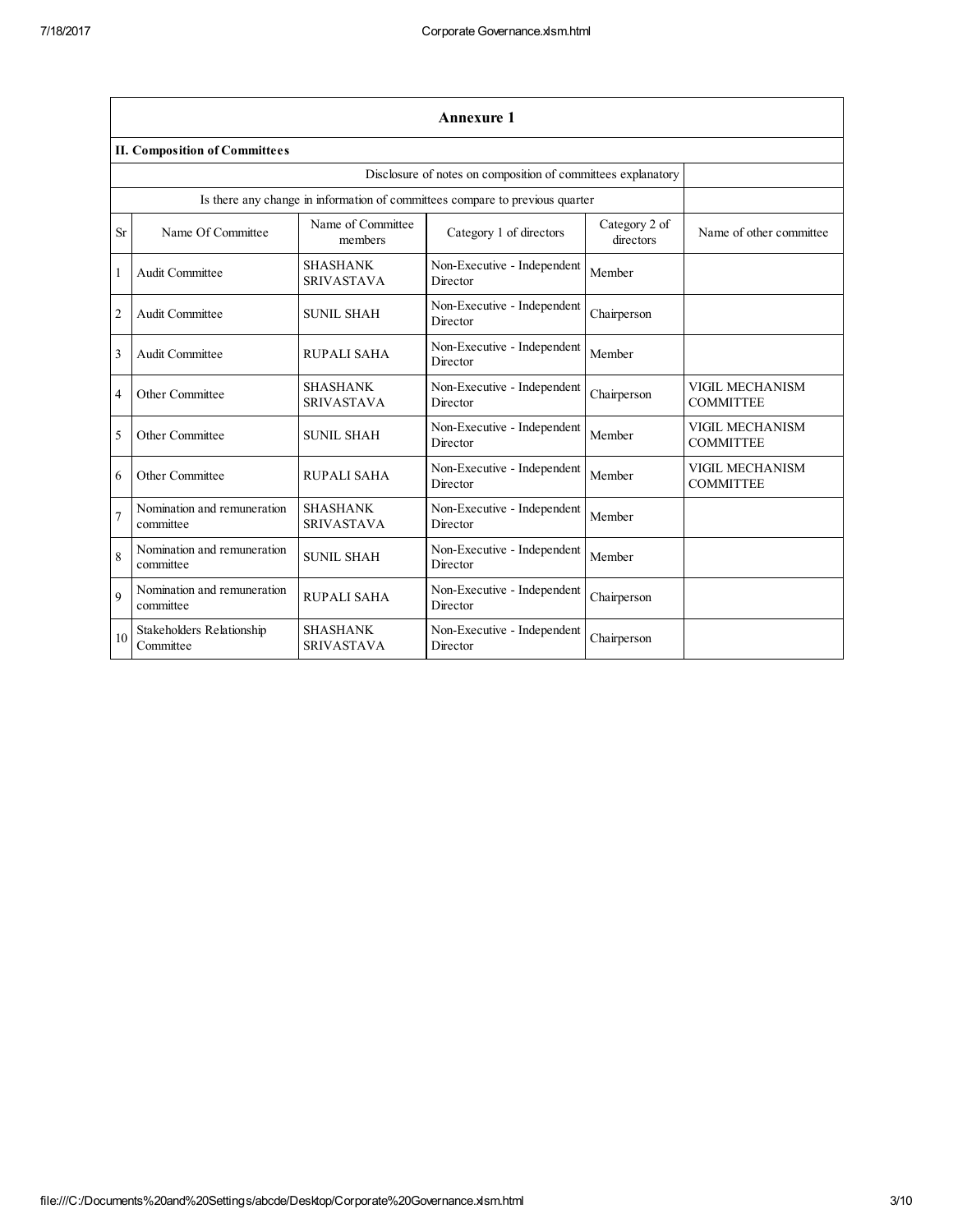|                | <b>Annexure 1</b>                             |                                      |                                                                              |                            |                                            |  |  |  |
|----------------|-----------------------------------------------|--------------------------------------|------------------------------------------------------------------------------|----------------------------|--------------------------------------------|--|--|--|
|                | <b>II. Composition of Committees</b>          |                                      |                                                                              |                            |                                            |  |  |  |
|                |                                               |                                      | Disclosure of notes on composition of committees explanatory                 |                            |                                            |  |  |  |
|                |                                               |                                      | Is there any change in information of committees compare to previous quarter |                            |                                            |  |  |  |
| <b>Sr</b>      | Name Of Committee                             | Name of Committee<br>members         | Category 1 of directors                                                      | Category 2 of<br>directors | Name of other committee                    |  |  |  |
| 1              | Audit Committee                               | <b>SHASHANK</b><br><b>SRIVASTAVA</b> | Non-Executive - Independent<br>Director                                      | Member                     |                                            |  |  |  |
| $\overline{2}$ | Audit Committee                               | <b>SUNIL SHAH</b>                    | Non-Executive - Independent<br>Director                                      | Chairperson                |                                            |  |  |  |
| 3              | Audit Committee                               | <b>RUPALI SAHA</b>                   | Non-Executive - Independent<br>Director                                      | Member                     |                                            |  |  |  |
| $\overline{4}$ | Other Committee                               | <b>SHASHANK</b><br><b>SRIVASTAVA</b> | Non-Executive - Independent<br>Director                                      | Chairperson                | VIGIL MECHANISM<br><b>COMMITTEE</b>        |  |  |  |
| 5              | Other Committee                               | <b>SUNIL SHAH</b>                    | Non-Executive - Independent<br>Director                                      | Member                     | VIGIL MECHANISM<br><b>COMMITTEE</b>        |  |  |  |
| 6              | Other Committee                               | RUPALI SAHA                          | Non-Executive - Independent<br>Director                                      | Member                     | <b>VIGIL MECHANISM</b><br><b>COMMITTEE</b> |  |  |  |
|                | Nomination and remuneration<br>committee      | <b>SHASHANK</b><br><b>SRIVASTAVA</b> | Non-Executive - Independent<br>Director                                      | Member                     |                                            |  |  |  |
| 8              | Nomination and remuneration<br>committee      | <b>SUNIL SHAH</b>                    | Non-Executive - Independent<br>Director                                      | Member                     |                                            |  |  |  |
| $\mathbf Q$    | Nomination and remuneration<br>committee      | RUPALI SAHA                          | Non-Executive - Independent<br>Director                                      | Chairperson                |                                            |  |  |  |
| 10             | <b>Stakeholders Relationship</b><br>Committee | <b>SHASHANK</b><br><b>SRIVASTAVA</b> | Non-Executive - Independent<br>Director                                      | Chairperson                |                                            |  |  |  |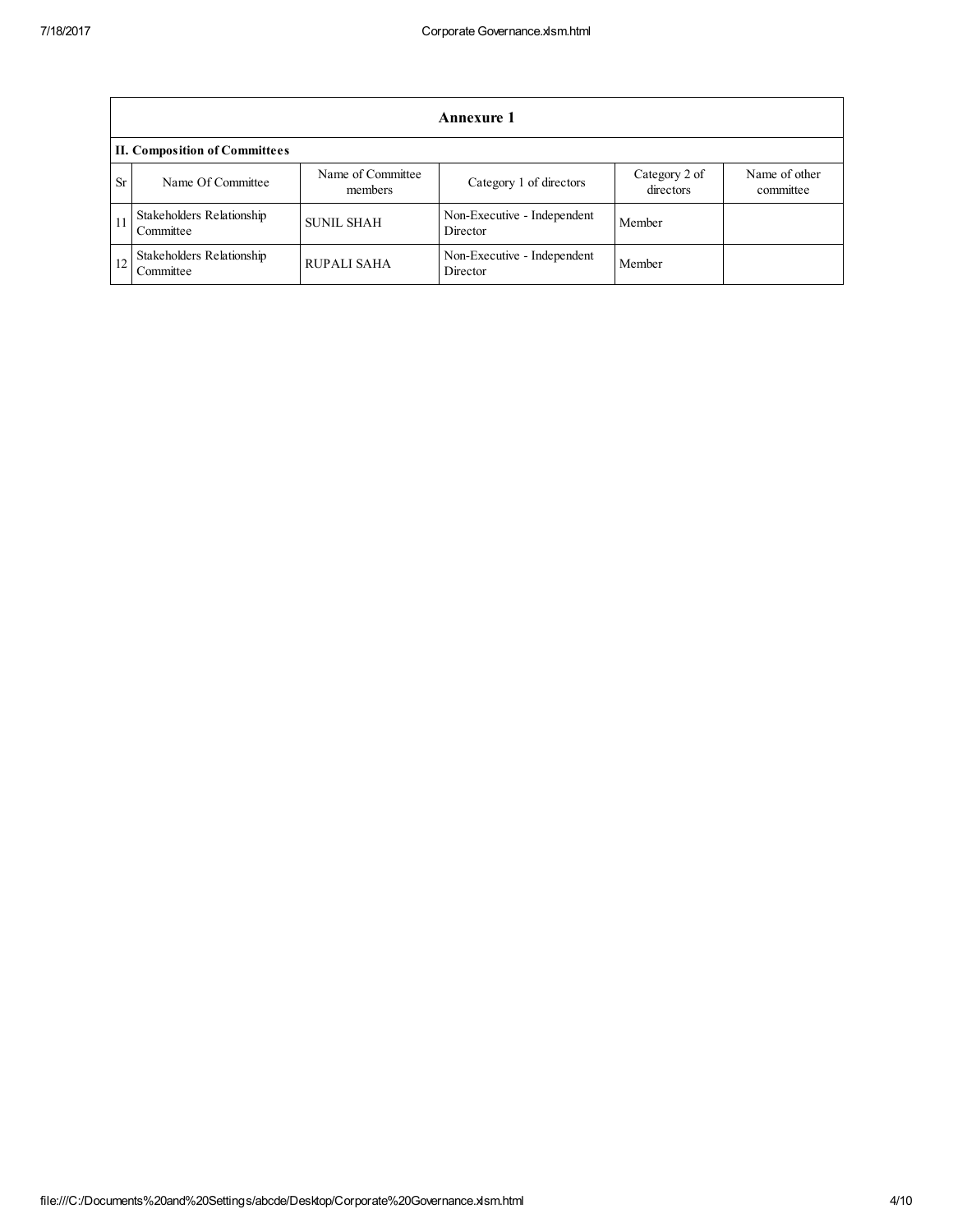|    | <b>Annexure 1</b>                      |                              |                                         |                            |                            |  |
|----|----------------------------------------|------------------------------|-----------------------------------------|----------------------------|----------------------------|--|
|    | <b>II. Composition of Committees</b>   |                              |                                         |                            |                            |  |
| Sr | Name Of Committee                      | Name of Committee<br>members | Category 1 of directors                 | Category 2 of<br>directors | Name of other<br>committee |  |
|    | Stakeholders Relationship<br>Committee | <b>SUNIL SHAH</b>            | Non-Executive - Independent<br>Director | Member                     |                            |  |
|    | Stakeholders Relationship<br>Committee | <b>RUPALI SAHA</b>           | Non-Executive - Independent<br>Director | Member                     |                            |  |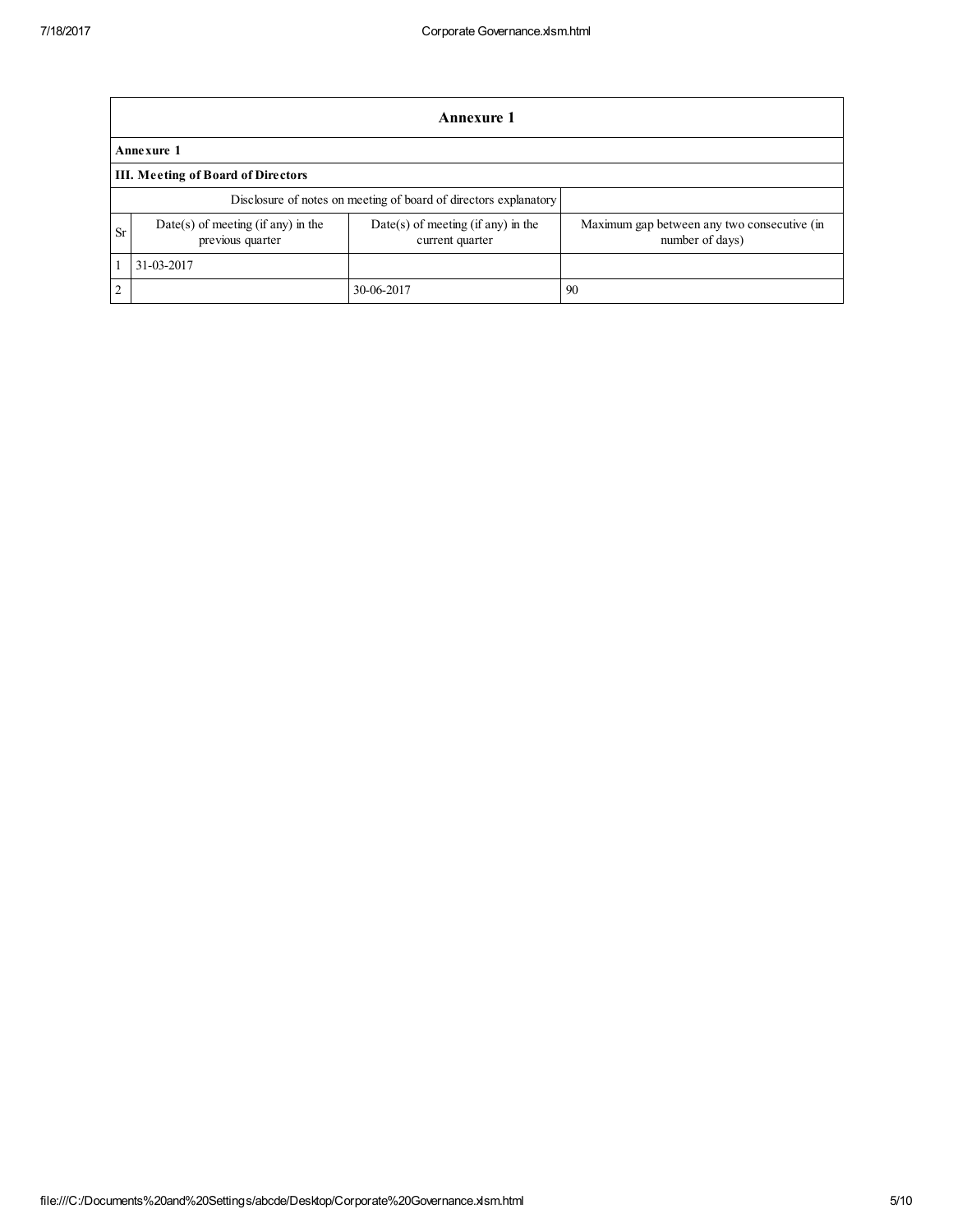|                                                                  | Annexure 1                                               |                                                         |                                                                |  |  |  |  |  |
|------------------------------------------------------------------|----------------------------------------------------------|---------------------------------------------------------|----------------------------------------------------------------|--|--|--|--|--|
|                                                                  | Annexure 1                                               |                                                         |                                                                |  |  |  |  |  |
|                                                                  | <b>III.</b> Meeting of Board of Directors                |                                                         |                                                                |  |  |  |  |  |
| Disclosure of notes on meeting of board of directors explanatory |                                                          |                                                         |                                                                |  |  |  |  |  |
| <b>Sr</b>                                                        | $Date(s)$ of meeting (if any) in the<br>previous quarter | $Date(s)$ of meeting (if any) in the<br>current quarter | Maximum gap between any two consecutive (in<br>number of days) |  |  |  |  |  |
|                                                                  | 31-03-2017                                               |                                                         |                                                                |  |  |  |  |  |
| 2                                                                |                                                          | 30-06-2017                                              | 90                                                             |  |  |  |  |  |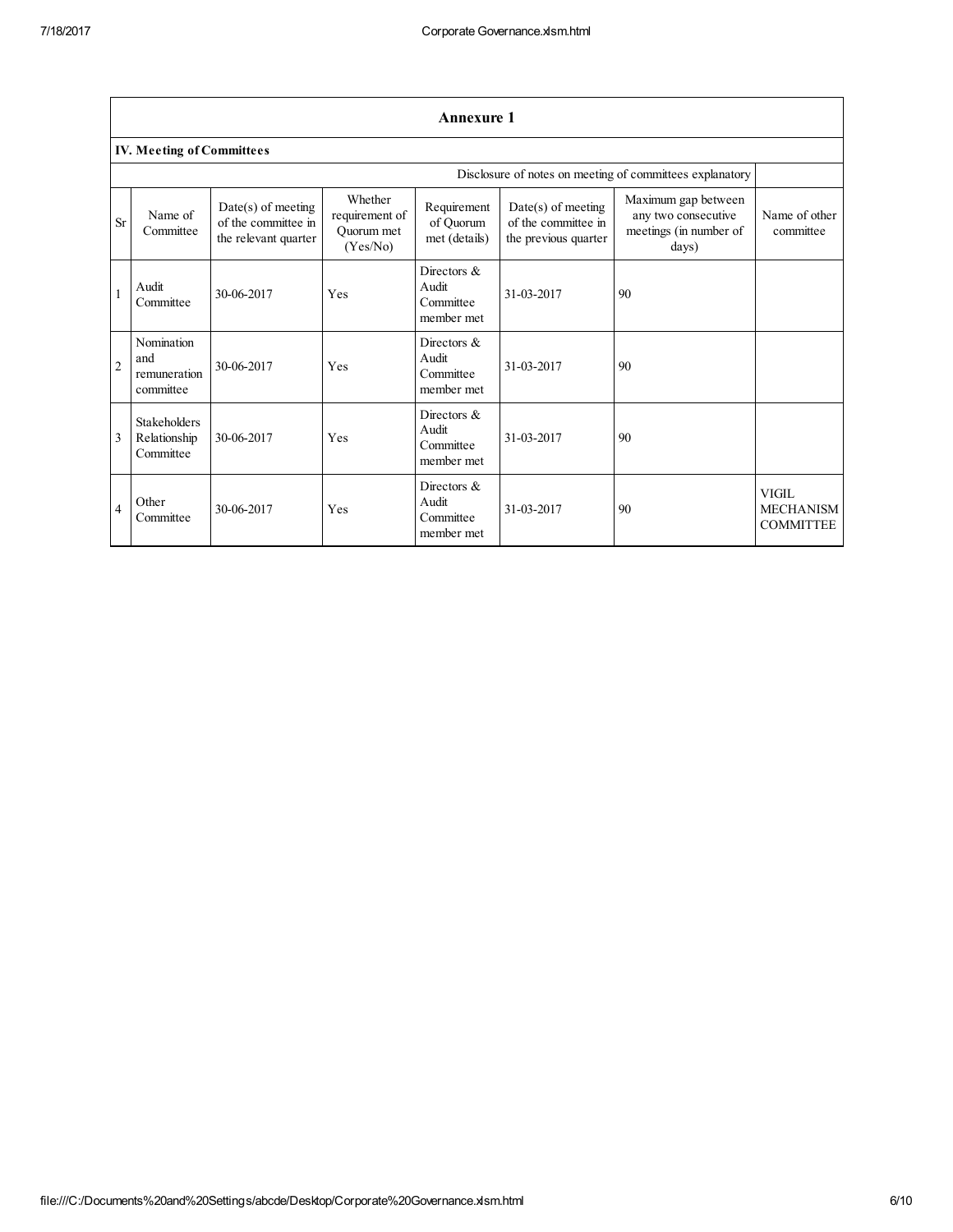|                | <b>Annexure 1</b>                                |                                                                     |                                                     |                                                    |                                                                     |                                                                               |                                               |  |
|----------------|--------------------------------------------------|---------------------------------------------------------------------|-----------------------------------------------------|----------------------------------------------------|---------------------------------------------------------------------|-------------------------------------------------------------------------------|-----------------------------------------------|--|
|                | <b>IV. Meeting of Committees</b>                 |                                                                     |                                                     |                                                    |                                                                     |                                                                               |                                               |  |
|                |                                                  |                                                                     |                                                     |                                                    |                                                                     | Disclosure of notes on meeting of committees explanatory                      |                                               |  |
| <b>Sr</b>      | Name of<br>Committee                             | $Date(s)$ of meeting<br>of the committee in<br>the relevant quarter | Whether<br>requirement of<br>Quorum met<br>(Yes/No) | Requirement<br>of Quorum<br>met (details)          | $Date(s)$ of meeting<br>of the committee in<br>the previous quarter | Maximum gap between<br>any two consecutive<br>meetings (in number of<br>days) | Name of other<br>committee                    |  |
| 1              | Audit<br>Committee                               | 30-06-2017                                                          | Yes                                                 | Directors $\&$<br>Audit<br>Committee<br>member met | 31-03-2017                                                          | 90                                                                            |                                               |  |
| $\overline{2}$ | Nomination<br>and<br>remuneration<br>committee   | 30-06-2017                                                          | Yes                                                 | Directors $\&$<br>Audit<br>Committee<br>member met | 31-03-2017                                                          | 90                                                                            |                                               |  |
| $\overline{3}$ | <b>Stakeholders</b><br>Relationship<br>Committee | 30-06-2017                                                          | Yes                                                 | Directors $\&$<br>Audit<br>Committee<br>member met | 31-03-2017                                                          | 90                                                                            |                                               |  |
| $\overline{4}$ | Other<br>Committee                               | 30-06-2017                                                          | Yes                                                 | Directors $\&$<br>Audit<br>Committee<br>member met | 31-03-2017                                                          | 90                                                                            | VIGIL<br><b>MECHANISM</b><br><b>COMMITTEE</b> |  |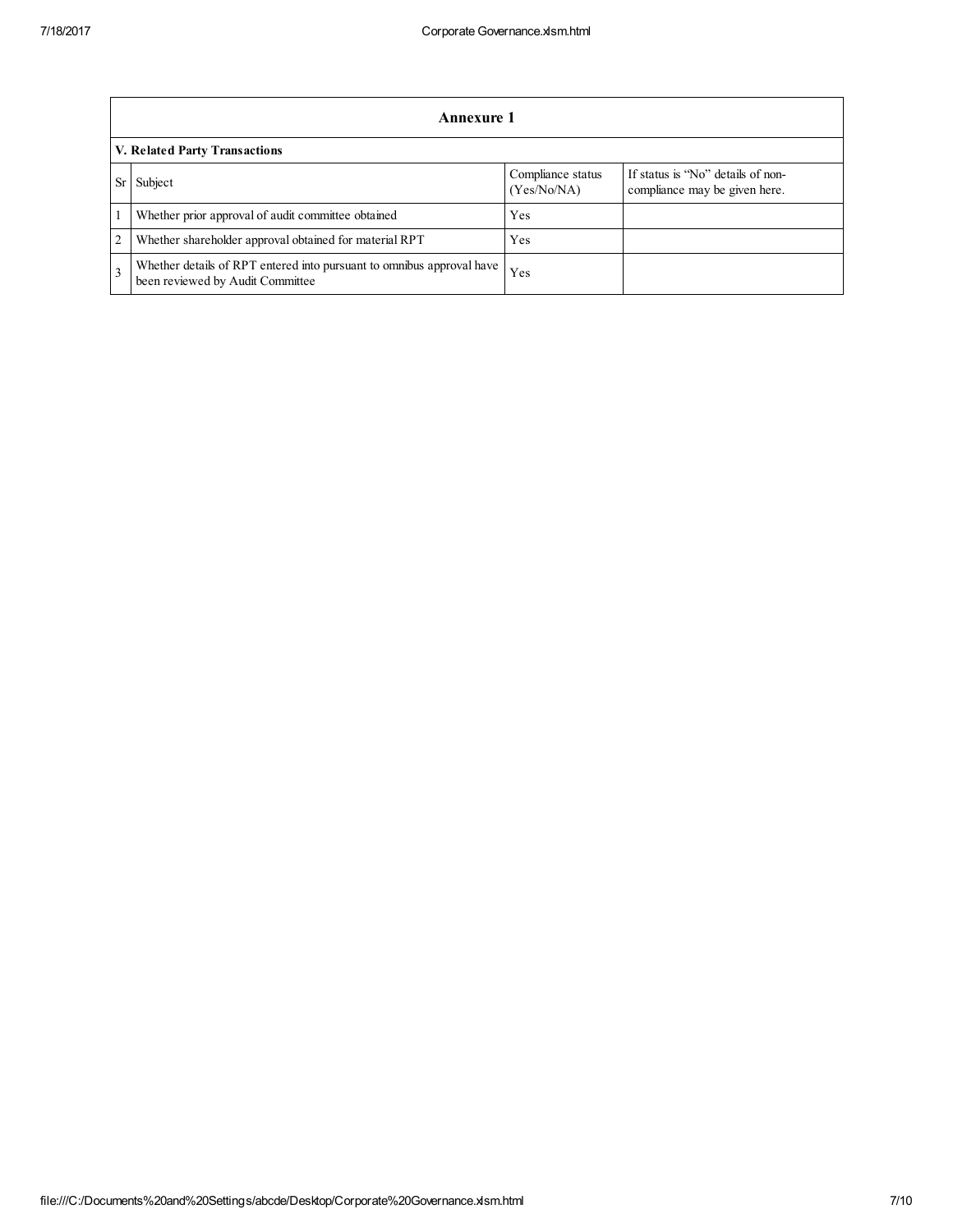|                | Annexure 1                                                                                                |                                  |                                                                    |  |  |  |  |
|----------------|-----------------------------------------------------------------------------------------------------------|----------------------------------|--------------------------------------------------------------------|--|--|--|--|
|                | V. Related Party Transactions                                                                             |                                  |                                                                    |  |  |  |  |
| Sr             | Subject                                                                                                   | Compliance status<br>(Yes/No/NA) | If status is "No" details of non-<br>compliance may be given here. |  |  |  |  |
|                | Whether prior approval of audit committee obtained                                                        | Yes                              |                                                                    |  |  |  |  |
| $\overline{c}$ | Whether shareholder approval obtained for material RPT                                                    | Yes                              |                                                                    |  |  |  |  |
| $\mathbf{3}$   | Whether details of RPT entered into pursuant to omnibus approval have<br>been reviewed by Audit Committee | Yes                              |                                                                    |  |  |  |  |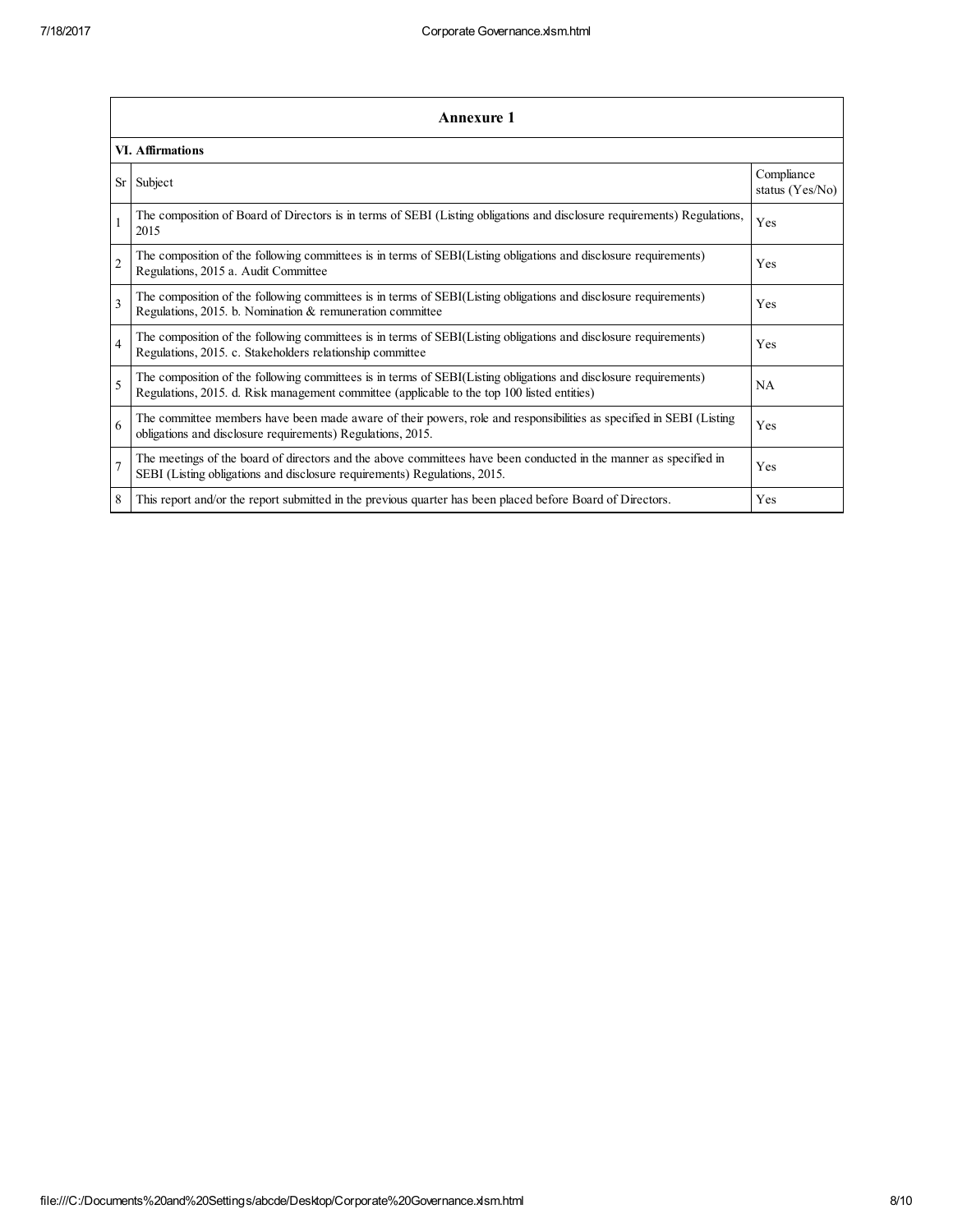|                | <b>Annexure 1</b>                                                                                                                                                                                               |                               |  |  |  |  |
|----------------|-----------------------------------------------------------------------------------------------------------------------------------------------------------------------------------------------------------------|-------------------------------|--|--|--|--|
|                | VI. Affirmations                                                                                                                                                                                                |                               |  |  |  |  |
| Sr             | Subject                                                                                                                                                                                                         | Compliance<br>status (Yes/No) |  |  |  |  |
| $\mathbf{1}$   | The composition of Board of Directors is in terms of SEBI (Listing obligations and disclosure requirements) Regulations,<br>2015                                                                                | Yes                           |  |  |  |  |
| $\overline{c}$ | The composition of the following committees is in terms of SEBI(Listing obligations and disclosure requirements)<br>Regulations, 2015 a. Audit Committee                                                        | Yes                           |  |  |  |  |
| 3              | The composition of the following committees is in terms of SEBI(Listing obligations and disclosure requirements)<br>Regulations, 2015. b. Nomination & remuneration committee                                   | Yes                           |  |  |  |  |
| $\overline{4}$ | The composition of the following committees is in terms of SEBI(Listing obligations and disclosure requirements)<br>Regulations, 2015. c. Stakeholders relationship committee                                   | Yes                           |  |  |  |  |
| 5              | The composition of the following committees is in terms of SEBI(Listing obligations and disclosure requirements)<br>Regulations, 2015. d. Risk management committee (applicable to the top 100 listed entities) | <b>NA</b>                     |  |  |  |  |
| 6              | The committee members have been made aware of their powers, role and responsibilities as specified in SEBI (Listing<br>obligations and disclosure requirements) Regulations, 2015.                              | Yes                           |  |  |  |  |
| $\overline{7}$ | The meetings of the board of directors and the above committees have been conducted in the manner as specified in<br>SEBI (Listing obligations and disclosure requirements) Regulations, 2015.                  | Yes                           |  |  |  |  |
| 8              | This report and/or the report submitted in the previous quarter has been placed before Board of Directors.                                                                                                      | Yes                           |  |  |  |  |